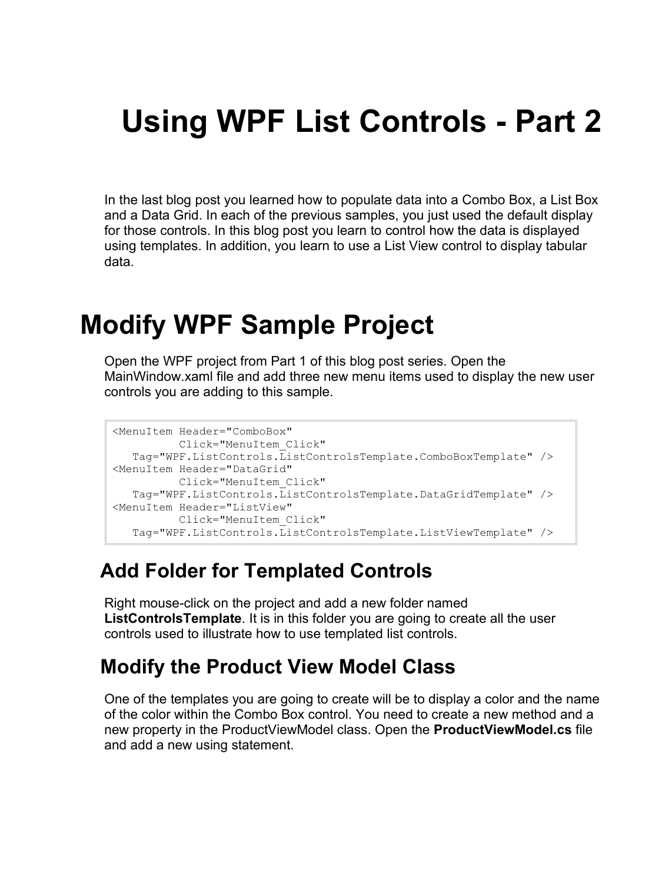# **Using WPF List Controls - Part 2**

In the last blog post you learned how to populate data into a Combo Box, a List Box and a Data Grid. In each of the previous samples, you just used the default display for those controls. In this blog post you learn to control how the data is displayed using templates. In addition, you learn to use a List View control to display tabular data.

# **Modify WPF Sample Project**

Open the WPF project from Part 1 of this blog post series. Open the MainWindow.xaml file and add three new menu items used to display the new user controls you are adding to this sample.

```
<MenuItem Header="ComboBox"
          Click="MenuItem_Click"
   Tag="WPF.ListControls.ListControlsTemplate.ComboBoxTemplate" />
<MenuItem Header="DataGrid"
          Click="MenuItem_Click"
   Tag="WPF.ListControls.ListControlsTemplate.DataGridTemplate" />
<MenuItem Header="ListView"
          Click="MenuItem_Click"
   Tag="WPF.ListControls.ListControlsTemplate.ListViewTemplate" />
```
#### **Add Folder for Templated Controls**

Right mouse-click on the project and add a new folder named **ListControlsTemplate**. It is in this folder you are going to create all the user controls used to illustrate how to use templated list controls.

#### **Modify the Product View Model Class**

One of the templates you are going to create will be to display a color and the name of the color within the Combo Box control. You need to create a new method and a new property in the ProductViewModel class. Open the **ProductViewModel.cs** file and add a new using statement.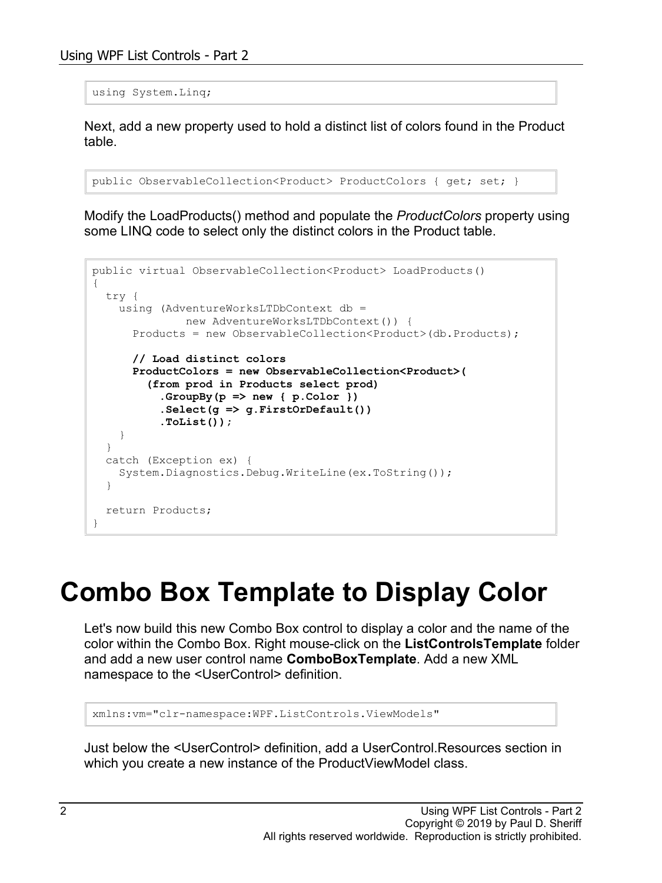using System.Linq;

Next, add a new property used to hold a distinct list of colors found in the Product table.

```
public ObservableCollection<Product> ProductColors { get; set; }
```
Modify the LoadProducts() method and populate the *ProductColors* property using some LINQ code to select only the distinct colors in the Product table.

```
public virtual ObservableCollection<Product> LoadProducts()
{
   try {
   using (AdventureWorksLTDbContext db =
              new AdventureWorksLTDbContext()) {
       Products = new ObservableCollection<Product>(db.Products);
       // Load distinct colors
       ProductColors = new ObservableCollection<Product>(
         (from prod in Products select prod)
           .GroupBy(p => new { p.Color })
           .Select(g => g.FirstOrDefault())
           .ToList());
     }
   }
   catch (Exception ex) {
     System.Diagnostics.Debug.WriteLine(ex.ToString());
   }
   return Products;
}
```
# **Combo Box Template to Display Color**

Let's now build this new Combo Box control to display a color and the name of the color within the Combo Box. Right mouse-click on the **ListControlsTemplate** folder and add a new user control name **ComboBoxTemplate**. Add a new XML namespace to the <UserControl> definition.

xmlns:vm="clr-namespace:WPF.ListControls.ViewModels"

Just below the <UserControl> definition, add a UserControl.Resources section in which you create a new instance of the ProductViewModel class.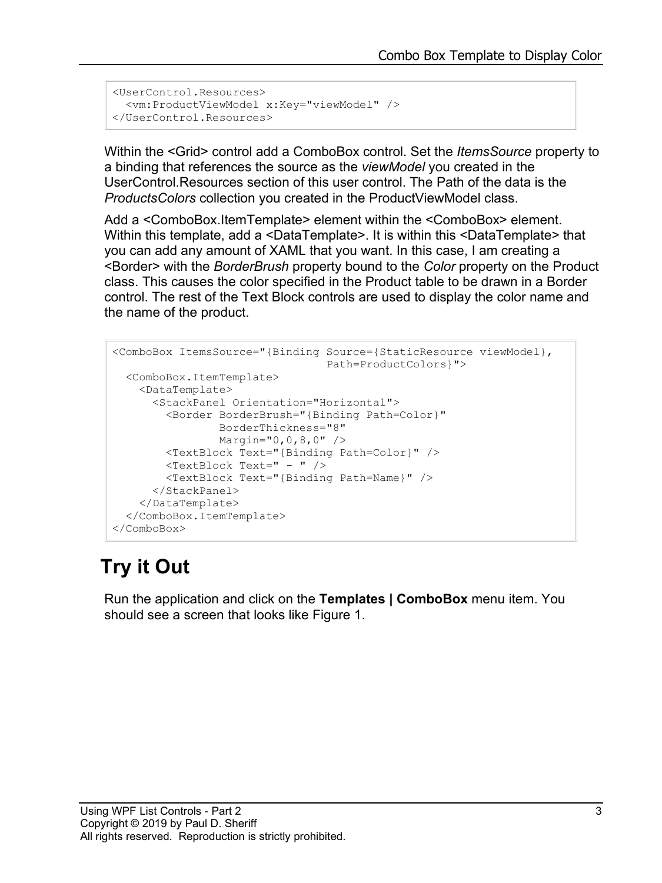```
<UserControl.Resources>
  <vm:ProductViewModel x:Key="viewModel" />
</UserControl.Resources>
```
Within the <Grid> control add a ComboBox control. Set the *ItemsSource* property to a binding that references the source as the *viewModel* you created in the UserControl.Resources section of this user control. The Path of the data is the *ProductsColors* collection you created in the ProductViewModel class.

Add a <ComboBox.ItemTemplate> element within the <ComboBox> element. Within this template, add a <DataTemplate>. It is within this <DataTemplate> that you can add any amount of XAML that you want. In this case, I am creating a <Border> with the *BorderBrush* property bound to the *Color* property on the Product class. This causes the color specified in the Product table to be drawn in a Border control. The rest of the Text Block controls are used to display the color name and the name of the product.

```
<ComboBox ItemsSource="{Binding Source={StaticResource viewModel},
                                 Path=ProductColors}">
  <ComboBox.ItemTemplate>
    <DataTemplate>
      <StackPanel Orientation="Horizontal">
         <Border BorderBrush="{Binding Path=Color}"
                BorderThickness="8"
                Margin="0,0,8,0" />
         <TextBlock Text="{Binding Path=Color}" />
         <TextBlock Text=" - " />
         <TextBlock Text="{Binding Path=Name}" />
       </StackPanel>
     </DataTemplate>
   </ComboBox.ItemTemplate>
</ComboBox>
```
### **Try it Out**

Run the application and click on the **Templates | ComboBox** menu item. You should see a screen that looks like [Figure 1.](#page-3-0)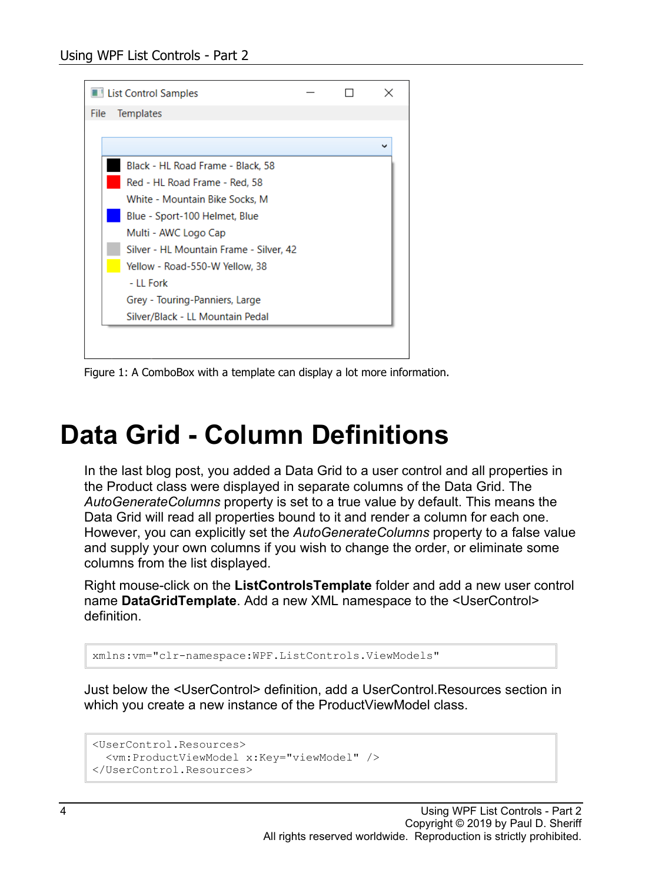

<span id="page-3-0"></span>Figure 1: A ComboBox with a template can display a lot more information.

# **Data Grid - Column Definitions**

In the last blog post, you added a Data Grid to a user control and all properties in the Product class were displayed in separate columns of the Data Grid. The *AutoGenerateColumns* property is set to a true value by default. This means the Data Grid will read all properties bound to it and render a column for each one. However, you can explicitly set the *AutoGenerateColumns* property to a false value and supply your own columns if you wish to change the order, or eliminate some columns from the list displayed.

Right mouse-click on the **ListControlsTemplate** folder and add a new user control name **DataGridTemplate**. Add a new XML namespace to the <UserControl> definition.

```
xmlns:vm="clr-namespace:WPF.ListControls.ViewModels"
```
Just below the <UserControl> definition, add a UserControl.Resources section in which you create a new instance of the ProductViewModel class.

```
<UserControl.Resources>
  <vm:ProductViewModel x:Key="viewModel" />
</UserControl.Resources>
```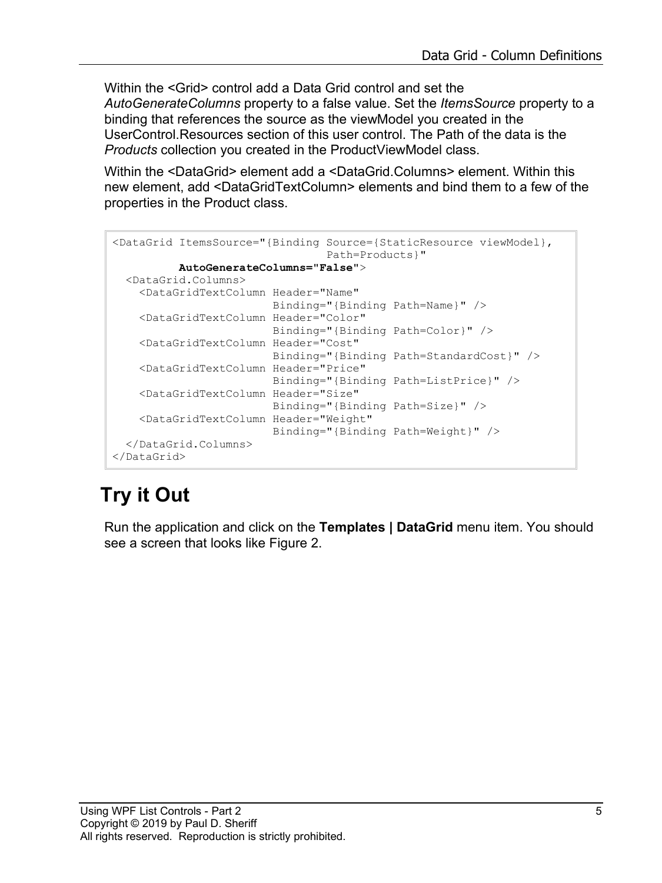Within the <Grid> control add a Data Grid control and set the *AutoGenerateColumns* property to a false value. Set the *ItemsSource* property to a binding that references the source as the viewModel you created in the UserControl.Resources section of this user control. The Path of the data is the *Products* collection you created in the ProductViewModel class.

Within the <DataGrid> element add a <DataGrid.Columns> element. Within this new element, add <DataGridTextColumn> elements and bind them to a few of the properties in the Product class.

```
<DataGrid ItemsSource="{Binding Source={StaticResource viewModel},
                                  Path=Products}"
           AutoGenerateColumns="False">
   <DataGrid.Columns>
     <DataGridTextColumn Header="Name"
                         Binding="{Binding Path=Name}" />
     <DataGridTextColumn Header="Color"
                         Binding="{Binding Path=Color}" />
     <DataGridTextColumn Header="Cost"
                        Binding="{Binding Path=StandardCost}" />
     <DataGridTextColumn Header="Price"
                         Binding="{Binding Path=ListPrice}" />
     <DataGridTextColumn Header="Size"
                         Binding="{Binding Path=Size}" />
     <DataGridTextColumn Header="Weight"
                        Binding="{Binding Path=Weight}" />
   </DataGrid.Columns>
</DataGrid>
```
## **Try it Out**

Run the application and click on the **Templates | DataGrid** menu item. You should see a screen that looks like [Figure 2.](#page-5-0)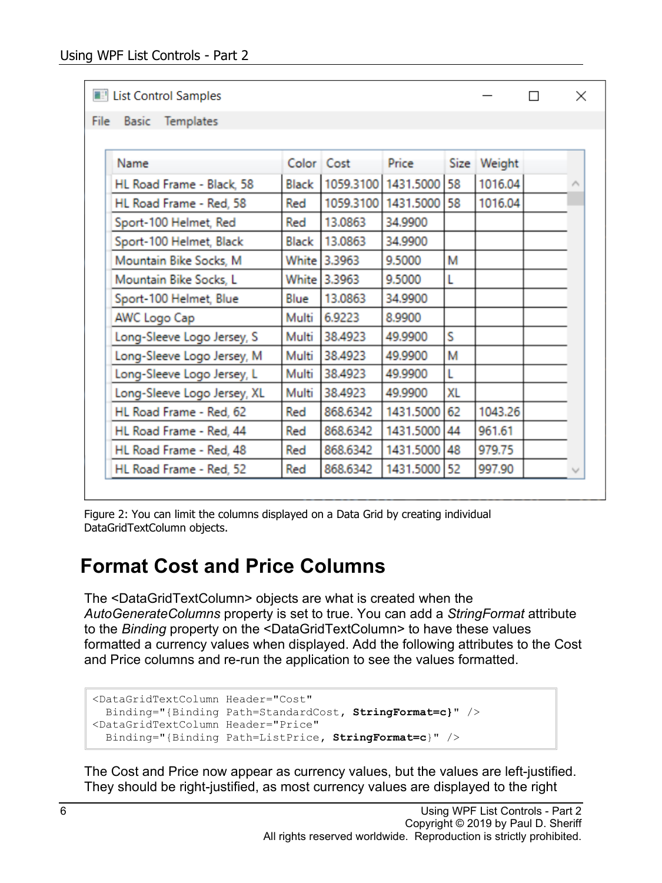**Ed List Control Samples** 

|  | File | <b>Basic</b> | Templates |  |
|--|------|--------------|-----------|--|
|--|------|--------------|-----------|--|

| Name                        |       | Color Cost   | Price     | Size | Weight  |  |
|-----------------------------|-------|--------------|-----------|------|---------|--|
| HL Road Frame - Black, 58   | Black | 1059.3100    | 1431.5000 | 58   | 1016.04 |  |
| HL Road Frame - Red, 58     | Red   | 1059.3100    | 1431.5000 | 58   | 1016.04 |  |
| Sport-100 Helmet, Red       | Red   | 13.0863      | 34.9900   |      |         |  |
| Sport-100 Helmet, Black     | Black | 13.0863      | 34.9900   |      |         |  |
| Mountain Bike Socks, M      |       | White 3.3963 | 9.5000    | M    |         |  |
| Mountain Bike Socks, L      |       | White 3.3963 | 9.5000    |      |         |  |
| Sport-100 Helmet, Blue      | Blue  | 13.0863      | 34.9900   |      |         |  |
| AWC Logo Cap                | Multi | 6.9223       | 8.9900    |      |         |  |
| Long-Sleeve Logo Jersey, S  | Multi | 38.4923      | 49.9900   | S    |         |  |
| Long-Sleeve Logo Jersey, M  | Multi | 38.4923      | 49.9900   | M    |         |  |
| Long-Sleeve Logo Jersey, L  | Multi | 38.4923      | 49.9900   |      |         |  |
| Long-Sleeve Logo Jersey, XL | Multi | 38.4923      | 49.9900   | XL   |         |  |
| HL Road Frame - Red, 62     | Red   | 868.6342     | 1431.5000 | 62   | 1043.26 |  |
| HL Road Frame - Red, 44     | Red   | 868,6342     | 1431.5000 | 44   | 961.61  |  |
| HL Road Frame - Red, 48     | Red   | 868.6342     | 1431.5000 | 48   | 979.75  |  |
| HL Road Frame - Red, 52     | Red   | 868.6342     | 1431.5000 | 52   | 997.90  |  |

X

 $\Box$ 

<span id="page-5-0"></span>Figure 2: You can limit the columns displayed on a Data Grid by creating individual DataGridTextColumn objects.

#### **Format Cost and Price Columns**

The <DataGridTextColumn> objects are what is created when the *AutoGenerateColumns* property is set to true. You can add a *StringFormat* attribute to the *Binding* property on the <DataGridTextColumn> to have these values formatted a currency values when displayed. Add the following attributes to the Cost and Price columns and re-run the application to see the values formatted.

```
<DataGridTextColumn Header="Cost"
  Binding="{Binding Path=StandardCost, StringFormat=c}" />
<DataGridTextColumn Header="Price"
   Binding="{Binding Path=ListPrice, StringFormat=c}" />
```
The Cost and Price now appear as currency values, but the values are left-justified. They should be right-justified, as most currency values are displayed to the right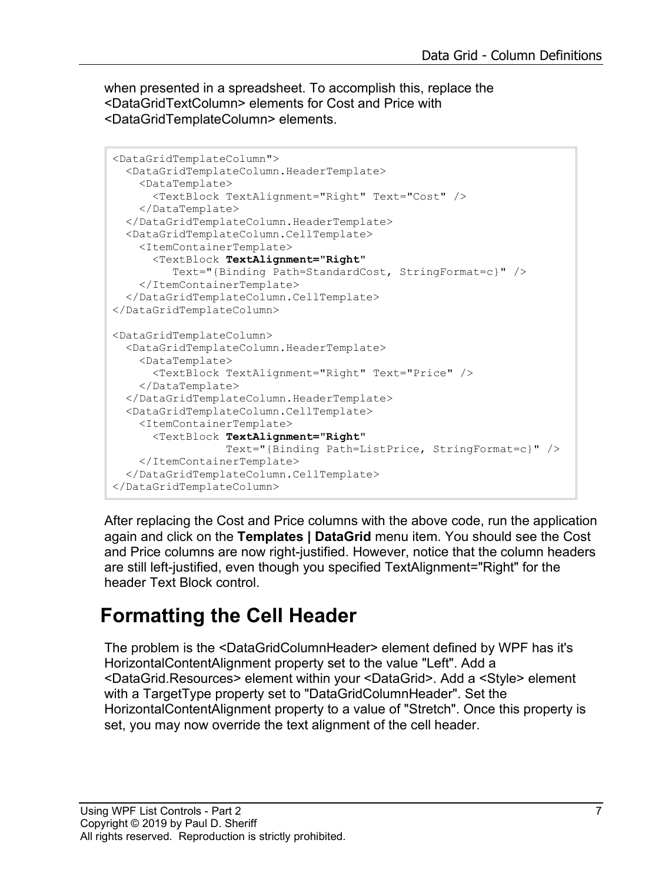when presented in a spreadsheet. To accomplish this, replace the <DataGridTextColumn> elements for Cost and Price with <DataGridTemplateColumn> elements.

```
<DataGridTemplateColumn">
   <DataGridTemplateColumn.HeaderTemplate>
    <DataTemplate>
       <TextBlock TextAlignment="Right" Text="Cost" />
    </DataTemplate>
   </DataGridTemplateColumn.HeaderTemplate>
   <DataGridTemplateColumn.CellTemplate>
     <ItemContainerTemplate>
       <TextBlock TextAlignment="Right"
          Text="{Binding Path=StandardCost, StringFormat=c}" />
     </ItemContainerTemplate>
   </DataGridTemplateColumn.CellTemplate>
</DataGridTemplateColumn>
<DataGridTemplateColumn>
   <DataGridTemplateColumn.HeaderTemplate>
    <DataTemplate>
       <TextBlock TextAlignment="Right" Text="Price" />
    </DataTemplate>
   </DataGridTemplateColumn.HeaderTemplate>
   <DataGridTemplateColumn.CellTemplate>
     <ItemContainerTemplate>
       <TextBlock TextAlignment="Right"
                 Text="{Binding Path=ListPrice, StringFormat=c}" />
     </ItemContainerTemplate>
   </DataGridTemplateColumn.CellTemplate>
</DataGridTemplateColumn>
```
After replacing the Cost and Price columns with the above code, run the application again and click on the **Templates | DataGrid** menu item. You should see the Cost and Price columns are now right-justified. However, notice that the column headers are still left-justified, even though you specified TextAlignment="Right" for the header Text Block control.

### **Formatting the Cell Header**

The problem is the <DataGridColumnHeader> element defined by WPF has it's HorizontalContentAlignment property set to the value "Left". Add a <DataGrid.Resources> element within your <DataGrid>. Add a <Style> element with a TargetType property set to "DataGridColumnHeader". Set the HorizontalContentAlignment property to a value of "Stretch". Once this property is set, you may now override the text alignment of the cell header.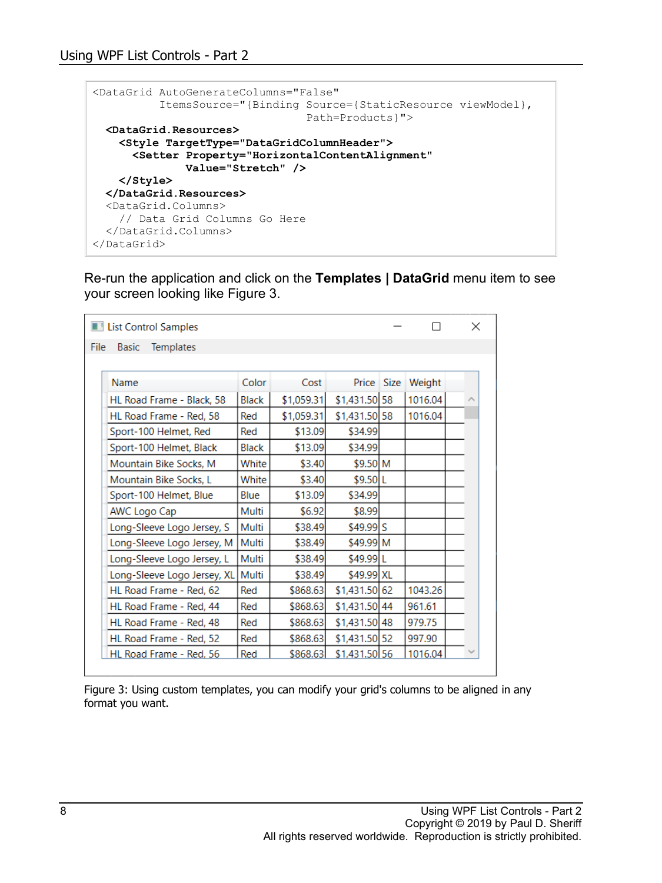|  | <datagrid <="" autogeneratecolumns="False" th=""><th></th></datagrid> |                                                          |
|--|-----------------------------------------------------------------------|----------------------------------------------------------|
|  |                                                                       | ItemsSource="{Binding Source={StaticResource viewModel}, |
|  |                                                                       | $Path = Products$ $"$                                    |
|  | <datagrid.resources></datagrid.resources>                             |                                                          |
|  | <style targettype="DataGridColumnHeader"></style>                     |                                                          |

Re-run the application and click on the **Templates | DataGrid** menu item to see your screen looking like [Figure 3.](#page-7-0)

|      | List Control Samples             |              |            |                |             |         | × |
|------|----------------------------------|--------------|------------|----------------|-------------|---------|---|
| File | <b>Basic</b><br><b>Templates</b> |              |            |                |             |         |   |
|      |                                  |              |            |                |             |         |   |
|      | Name                             | Color        | Cost       | Price          | <b>Size</b> | Weight  |   |
|      | HL Road Frame - Black, 58        | Black        | \$1,059.31 | \$1,431.50 58  |             | 1016.04 |   |
|      | HL Road Frame - Red, 58          | Red          | \$1,059.31 | \$1,431.50 58  |             | 1016.04 |   |
|      | Sport-100 Helmet, Red            | Red          | \$13.09    | \$34.99        |             |         |   |
|      | Sport-100 Helmet, Black          | <b>Black</b> | \$13.09    | \$34.99        |             |         |   |
|      | Mountain Bike Socks, M           | White        | \$3.40     | \$9.50 M       |             |         |   |
|      | Mountain Bike Socks. L           | White        | \$3.40     | \$9.50 L       |             |         |   |
|      | Sport-100 Helmet, Blue           | Blue         | \$13.09    | \$34.99        |             |         |   |
|      | AWC Logo Cap                     | Multi        | \$6.92     | \$8.99         |             |         |   |
|      | Long-Sleeve Logo Jersey, S       | Multi        | \$38.49    | $$49.99$ S     |             |         |   |
|      | Long-Sleeve Logo Jersey, M       | Multi        | \$38.49    | \$49.99 M      |             |         |   |
|      | Long-Sleeve Logo Jersey, L       | Multi        | \$38.49    | \$49.99 L      |             |         |   |
|      | Long-Sleeve Logo Jersey, XL      | Multi        | \$38.49    | \$49.99 XL     |             |         |   |
|      | HL Road Frame - Red, 62          | Red          | \$868.63   | \$1,431.50 62  |             | 1043.26 |   |
|      | HL Road Frame - Red, 44          | Red          | \$868.63   | \$1,431.50 44  |             | 961.61  |   |
|      | HL Road Frame - Red, 48          | Red          | \$868.63   | $$1,431.50$ 48 |             | 979.75  |   |
|      | HL Road Frame - Red. 52          | Red          | \$868.63   | \$1,431.50 52  |             | 997.90  |   |
|      | HL Road Frame - Red. 56          | Red          | \$868.63   | \$1,431.50 56  |             | 1016.04 |   |

<span id="page-7-0"></span>Figure 3: Using custom templates, you can modify your grid's columns to be aligned in any format you want.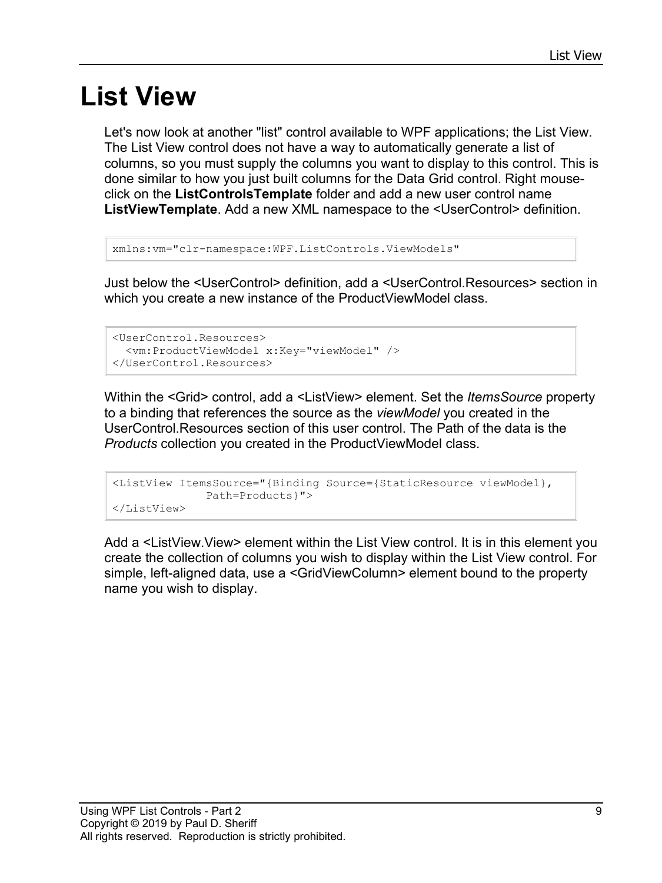# **List View**

Let's now look at another "list" control available to WPF applications; the List View. The List View control does not have a way to automatically generate a list of columns, so you must supply the columns you want to display to this control. This is done similar to how you just built columns for the Data Grid control. Right mouseclick on the **ListControlsTemplate** folder and add a new user control name **ListViewTemplate**. Add a new XML namespace to the <UserControl> definition.

```
xmlns:vm="clr-namespace:WPF.ListControls.ViewModels"
```
Just below the <UserControl> definition, add a <UserControl.Resources> section in which you create a new instance of the ProductViewModel class.

```
<UserControl.Resources>
   <vm:ProductViewModel x:Key="viewModel" />
</UserControl.Resources>
```
Within the <Grid> control, add a <ListView> element. Set the *ItemsSource* property to a binding that references the source as the *viewModel* you created in the UserControl.Resources section of this user control. The Path of the data is the *Products* collection you created in the ProductViewModel class.

```
<ListView ItemsSource="{Binding Source={StaticResource viewModel},
               Path=Products}">
</ListView>
```
Add a <ListView.View> element within the List View control. It is in this element you create the collection of columns you wish to display within the List View control. For simple, left-aligned data, use a <GridViewColumn> element bound to the property name you wish to display.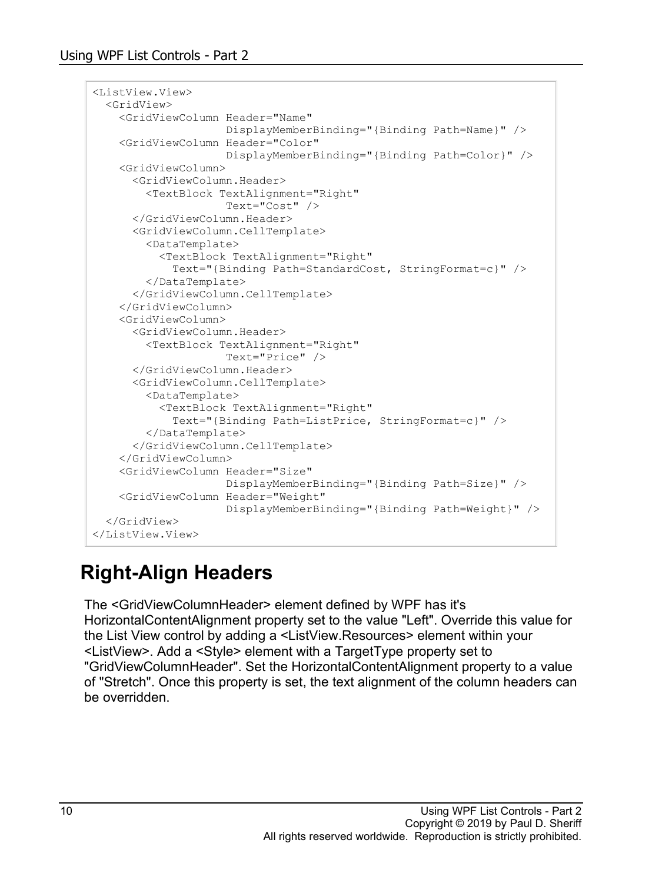```
<ListView.View>
  <GridView>
     <GridViewColumn Header="Name"
                    DisplayMemberBinding="{Binding Path=Name}" />
     <GridViewColumn Header="Color"
                     DisplayMemberBinding="{Binding Path=Color}" />
     <GridViewColumn>
       <GridViewColumn.Header>
         <TextBlock TextAlignment="Right"
                     Text="Cost" />
       </GridViewColumn.Header>
       <GridViewColumn.CellTemplate>
         <DataTemplate>
           <TextBlock TextAlignment="Right"
             Text="{Binding Path=StandardCost, StringFormat=c}" />
         </DataTemplate>
       </GridViewColumn.CellTemplate>
     </GridViewColumn>
     <GridViewColumn>
       <GridViewColumn.Header>
         <TextBlock TextAlignment="Right"
                     Text="Price" />
       </GridViewColumn.Header>
       <GridViewColumn.CellTemplate>
         <DataTemplate>
           <TextBlock TextAlignment="Right"
             Text="{Binding Path=ListPrice, StringFormat=c}" />
         </DataTemplate>
       </GridViewColumn.CellTemplate>
     </GridViewColumn>
     <GridViewColumn Header="Size"
                     DisplayMemberBinding="{Binding Path=Size}" />
     <GridViewColumn Header="Weight"
                     DisplayMemberBinding="{Binding Path=Weight}" />
  </GridView>
</ListView.View>
```
### **Right-Align Headers**

The <GridViewColumnHeader> element defined by WPF has it's HorizontalContentAlignment property set to the value "Left". Override this value for the List View control by adding a <ListView.Resources> element within your <ListView>. Add a <Style> element with a TargetType property set to "GridViewColumnHeader". Set the HorizontalContentAlignment property to a value of "Stretch". Once this property is set, the text alignment of the column headers can be overridden.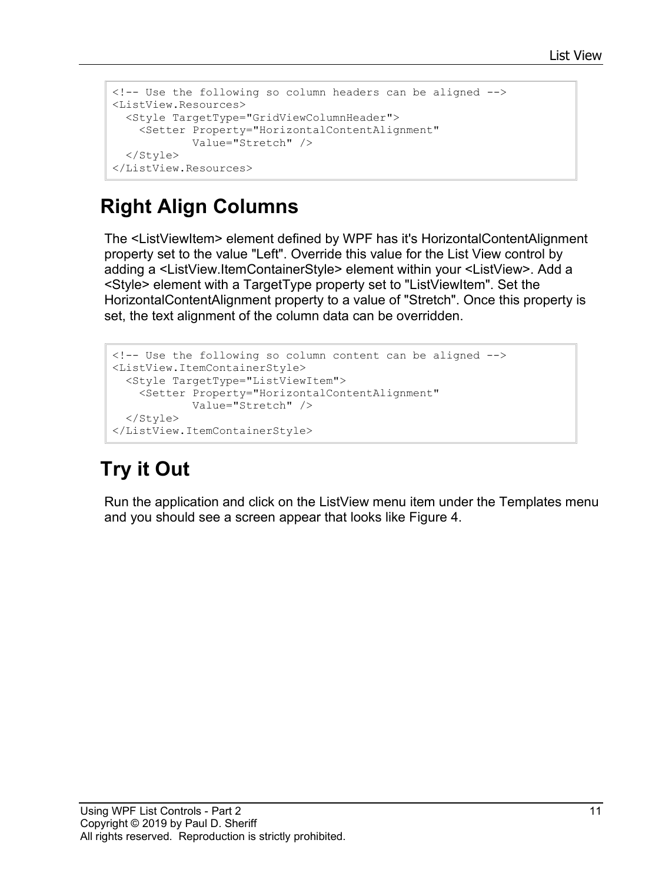```
<!-- Use the following so column headers can be aligned -->
<ListView.Resources>
  <Style TargetType="GridViewColumnHeader">
    <Setter Property="HorizontalContentAlignment"
            Value="Stretch" />
  </Style>
</ListView.Resources>
```
### **Right Align Columns**

The <ListViewItem> element defined by WPF has it's HorizontalContentAlignment property set to the value "Left". Override this value for the List View control by adding a <ListView.ItemContainerStyle> element within your <ListView>. Add a <Style> element with a TargetType property set to "ListViewItem". Set the HorizontalContentAlignment property to a value of "Stretch". Once this property is set, the text alignment of the column data can be overridden.

```
<!-- Use the following so column content can be aligned -->
<ListView.ItemContainerStyle>
  <Style TargetType="ListViewItem">
     <Setter Property="HorizontalContentAlignment"
             Value="Stretch" />
  </Style>
</ListView.ItemContainerStyle>
```
## **Try it Out**

Run the application and click on the ListView menu item under the Templates menu and you should see a screen appear that looks like [Figure 4.](#page-11-0)